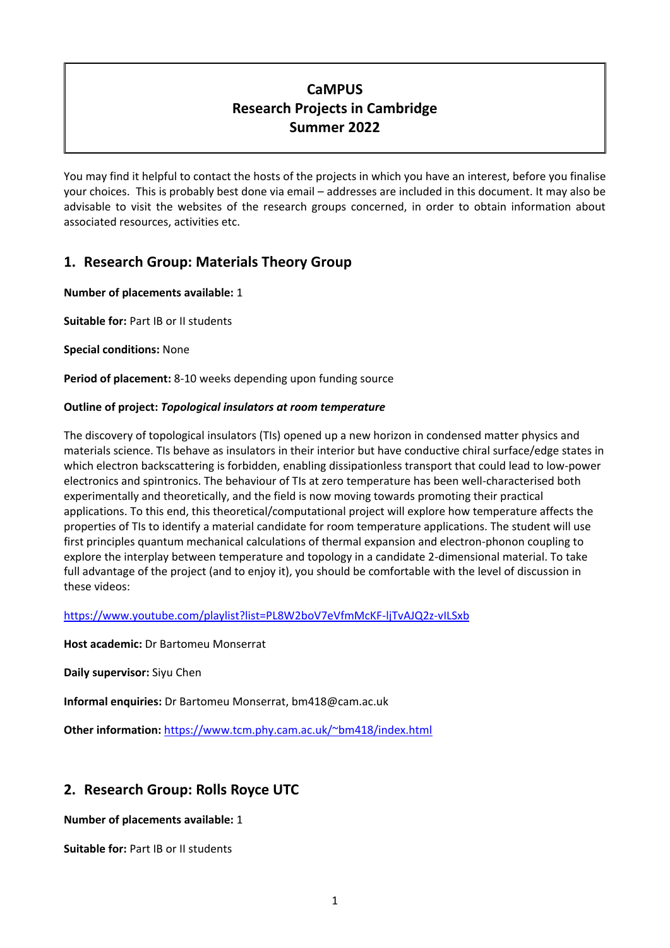# **CaMPUS Research Projects in Cambridge Summer 2022**

You may find it helpful to contact the hosts of the projects in which you have an interest, before you finalise your choices. This is probably best done via email – addresses are included in this document. It may also be advisable to visit the websites of the research groups concerned, in order to obtain information about associated resources, activities etc.

# **1. Research Group: Materials Theory Group**

# **Number of placements available:** 1

**Suitable for:** Part IB or II students

**Special conditions:** None

**Period of placement:** 8-10 weeks depending upon funding source

# **Outline of project:** *Topological insulators at room temperature*

The discovery of topological insulators (TIs) opened up a new horizon in condensed matter physics and materials science. TIs behave as insulators in their interior but have conductive chiral surface/edge states in which electron backscattering is forbidden, enabling dissipationless transport that could lead to low-power electronics and spintronics. The behaviour of TIs at zero temperature has been well-characterised both experimentally and theoretically, and the field is now moving towards promoting their practical applications. To this end, this theoretical/computational project will explore how temperature affects the properties of TIs to identify a material candidate for room temperature applications. The student will use first principles quantum mechanical calculations of thermal expansion and electron-phonon coupling to explore the interplay between temperature and topology in a candidate 2-dimensional material. To take full advantage of the project (and to enjoy it), you should be comfortable with the level of discussion in these videos:

<https://www.youtube.com/playlist?list=PL8W2boV7eVfmMcKF-ljTvAJQ2z-vILSxb>

**Host academic:** Dr Bartomeu Monserrat

**Daily supervisor:** Siyu Chen

**Informal enquiries:** Dr Bartomeu Monserrat, bm418@cam.ac.uk

**Other information:** <https://www.tcm.phy.cam.ac.uk/~bm418/index.html>

# **2. Research Group: Rolls Royce UTC**

**Number of placements available:** 1

**Suitable for:** Part IB or II students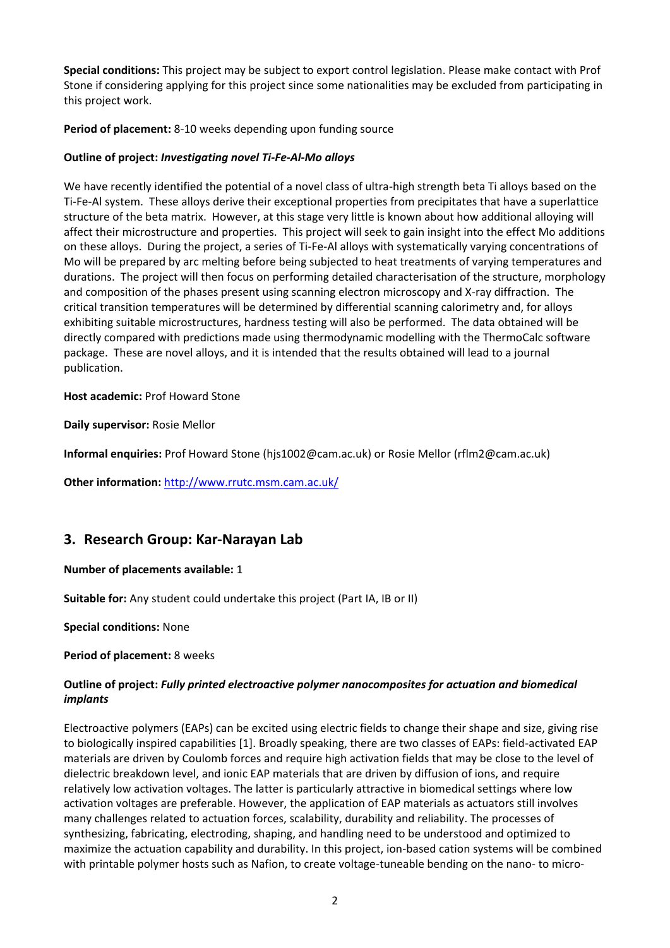**Special conditions:** This project may be subject to export control legislation. Please make contact with Prof Stone if considering applying for this project since some nationalities may be excluded from participating in this project work.

## **Period of placement:** 8-10 weeks depending upon funding source

### **Outline of project:** *Investigating novel Ti-Fe-Al-Mo alloys*

We have recently identified the potential of a novel class of ultra-high strength beta Ti alloys based on the Ti-Fe-Al system. These alloys derive their exceptional properties from precipitates that have a superlattice structure of the beta matrix. However, at this stage very little is known about how additional alloying will affect their microstructure and properties. This project will seek to gain insight into the effect Mo additions on these alloys. During the project, a series of Ti-Fe-Al alloys with systematically varying concentrations of Mo will be prepared by arc melting before being subjected to heat treatments of varying temperatures and durations. The project will then focus on performing detailed characterisation of the structure, morphology and composition of the phases present using scanning electron microscopy and X-ray diffraction. The critical transition temperatures will be determined by differential scanning calorimetry and, for alloys exhibiting suitable microstructures, hardness testing will also be performed. The data obtained will be directly compared with predictions made using thermodynamic modelling with the ThermoCalc software package. These are novel alloys, and it is intended that the results obtained will lead to a journal publication.

#### **Host academic:** Prof Howard Stone

**Daily supervisor:** Rosie Mellor

**Informal enquiries:** Prof Howard Stone (hjs1002@cam.ac.uk) or Rosie Mellor (rflm2@cam.ac.uk)

**Other information:** <http://www.rrutc.msm.cam.ac.uk/>

# **3. Research Group: Kar-Narayan Lab**

#### **Number of placements available:** 1

**Suitable for:** Any student could undertake this project (Part IA, IB or II)

**Special conditions:** None

**Period of placement:** 8 weeks

## **Outline of project:** *Fully printed electroactive polymer nanocomposites for actuation and biomedical implants*

Electroactive polymers (EAPs) can be excited using electric fields to change their shape and size, giving rise to biologically inspired capabilities [1]. Broadly speaking, there are two classes of EAPs: field-activated EAP materials are driven by Coulomb forces and require high activation fields that may be close to the level of dielectric breakdown level, and ionic EAP materials that are driven by diffusion of ions, and require relatively low activation voltages. The latter is particularly attractive in biomedical settings where low activation voltages are preferable. However, the application of EAP materials as actuators still involves many challenges related to actuation forces, scalability, durability and reliability. The processes of synthesizing, fabricating, electroding, shaping, and handling need to be understood and optimized to maximize the actuation capability and durability. In this project, ion-based cation systems will be combined with printable polymer hosts such as Nafion, to create voltage-tuneable bending on the nano- to micro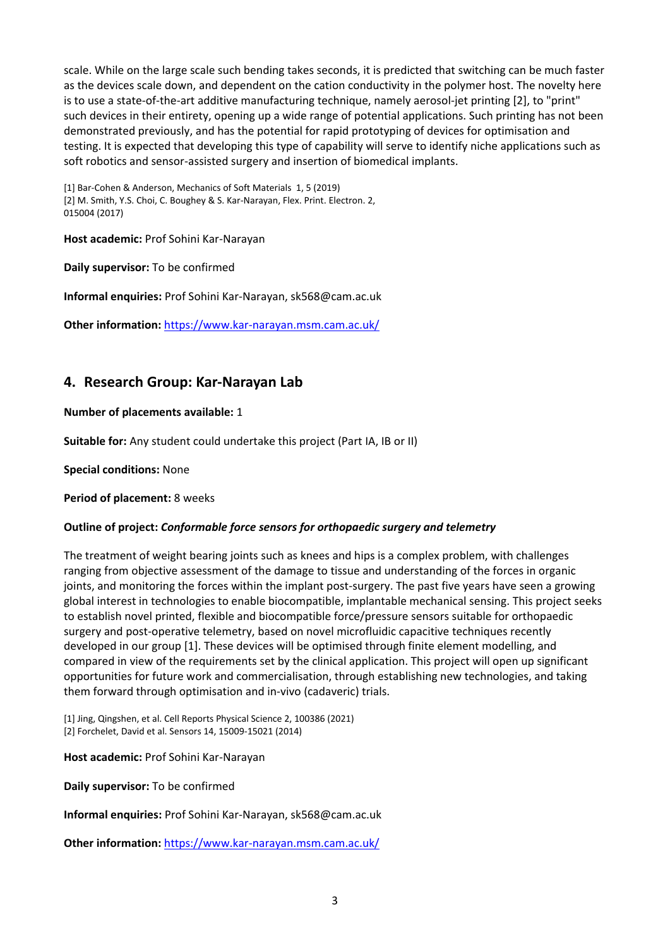scale. While on the large scale such bending takes seconds, it is predicted that switching can be much faster as the devices scale down, and dependent on the cation conductivity in the polymer host. The novelty here is to use a state-of-the-art additive manufacturing technique, namely aerosol-jet printing [2], to "print" such devices in their entirety, opening up a wide range of potential applications. Such printing has not been demonstrated previously, and has the potential for rapid prototyping of devices for optimisation and testing. It is expected that developing this type of capability will serve to identify niche applications such as soft robotics and sensor-assisted surgery and insertion of biomedical implants.

[1] Bar-Cohen & Anderson, Mechanics of Soft Materials 1, 5 (2019) [2] M. Smith, Y.S. Choi, C. Boughey & S. Kar-Narayan, Flex. Print. Electron. 2, 015004 (2017)

**Host academic:** Prof Sohini Kar-Narayan

**Daily supervisor:** To be confirmed

**Informal enquiries:** Prof Sohini Kar-Narayan, sk568@cam.ac.uk

**Other information:** <https://www.kar-narayan.msm.cam.ac.uk/>

# **4. Research Group: Kar-Narayan Lab**

## **Number of placements available:** 1

**Suitable for:** Any student could undertake this project (Part IA, IB or II)

**Special conditions:** None

**Period of placement:** 8 weeks

# **Outline of project:** *Conformable force sensors for orthopaedic surgery and telemetry*

The treatment of weight bearing joints such as knees and hips is a complex problem, with challenges ranging from objective assessment of the damage to tissue and understanding of the forces in organic joints, and monitoring the forces within the implant post-surgery. The past five years have seen a growing global interest in technologies to enable biocompatible, implantable mechanical sensing. This project seeks to establish novel printed, flexible and biocompatible force/pressure sensors suitable for orthopaedic surgery and post-operative telemetry, based on novel microfluidic capacitive techniques recently developed in our group [1]. These devices will be optimised through finite element modelling, and compared in view of the requirements set by the clinical application. This project will open up significant opportunities for future work and commercialisation, through establishing new technologies, and taking them forward through optimisation and in-vivo (cadaveric) trials.

[1] Jing, Qingshen, et al. Cell Reports Physical Science 2, 100386 (2021) [2] Forchelet, David et al. Sensors 14, 15009-15021 (2014)

**Host academic:** Prof Sohini Kar-Narayan

**Daily supervisor:** To be confirmed

**Informal enquiries:** Prof Sohini Kar-Narayan, sk568@cam.ac.uk

**Other information:** <https://www.kar-narayan.msm.cam.ac.uk/>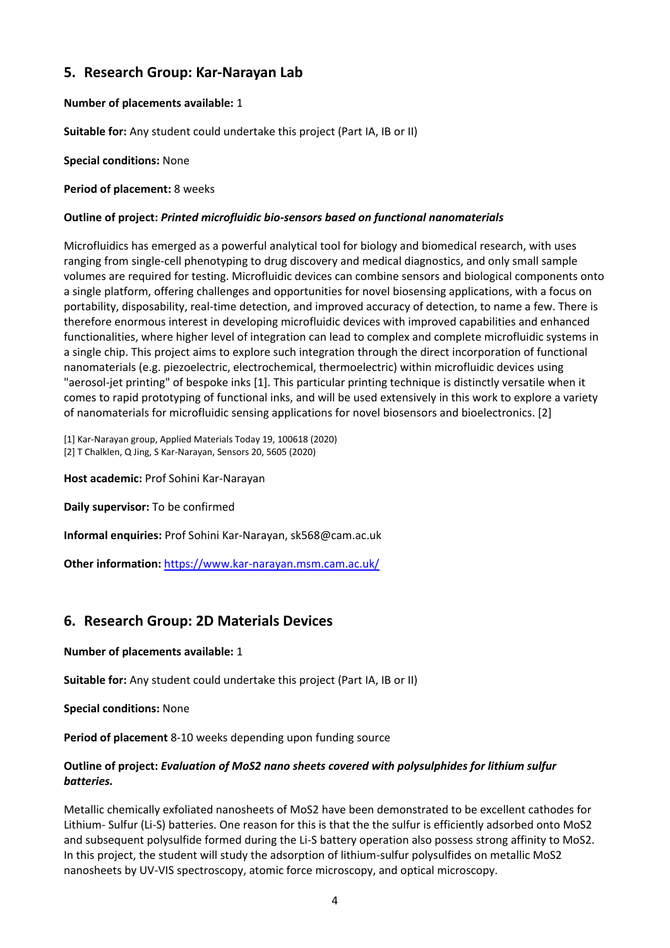# **5. Research Group: Kar-Narayan Lab**

# **Number of placements available:** 1

**Suitable for:** Any student could undertake this project (Part IA, IB or II)

**Special conditions:** None

### **Period of placement:** 8 weeks

## **Outline of project:** *Printed microfluidic bio-sensors based on functional nanomaterials*

Microfluidics has emerged as a powerful analytical tool for biology and biomedical research, with uses ranging from single-cell phenotyping to drug discovery and medical diagnostics, and only small sample volumes are required for testing. Microfluidic devices can combine sensors and biological components onto a single platform, offering challenges and opportunities for novel biosensing applications, with a focus on portability, disposability, real-time detection, and improved accuracy of detection, to name a few. There is therefore enormous interest in developing microfluidic devices with improved capabilities and enhanced functionalities, where higher level of integration can lead to complex and complete microfluidic systems in a single chip. This project aims to explore such integration through the direct incorporation of functional nanomaterials (e.g. piezoelectric, electrochemical, thermoelectric) within microfluidic devices using "aerosol-jet printing" of bespoke inks [1]. This particular printing technique is distinctly versatile when it comes to rapid prototyping of functional inks, and will be used extensively in this work to explore a variety of nanomaterials for microfluidic sensing applications for novel biosensors and bioelectronics. [2]

[1] Kar-Narayan group, Applied Materials Today 19, 100618 (2020) [2] T Chalklen, Q Jing, S Kar-Narayan, Sensors 20, 5605 (2020)

**Host academic:** Prof Sohini Kar-Narayan

**Daily supervisor:** To be confirmed

**Informal enquiries:** Prof Sohini Kar-Narayan, sk568@cam.ac.uk

**Other information:** <https://www.kar-narayan.msm.cam.ac.uk/>

# **6. Research Group: 2D Materials Devices**

#### **Number of placements available:** 1

**Suitable for:** Any student could undertake this project (Part IA, IB or II)

**Special conditions:** None

**Period of placement** 8-10 weeks depending upon funding source

## **Outline of project:** *Evaluation of MoS2 nano sheets covered with polysulphides for lithium sulfur batteries.*

Metallic chemically exfoliated nanosheets of MoS2 have been demonstrated to be excellent cathodes for Lithium- Sulfur (Li-S) batteries. One reason for this is that the the sulfur is efficiently adsorbed onto MoS2 and subsequent polysulfide formed during the Li-S battery operation also possess strong affinity to MoS2. In this project, the student will study the adsorption of lithium-sulfur polysulfides on metallic MoS2 nanosheets by UV-VIS spectroscopy, atomic force microscopy, and optical microscopy.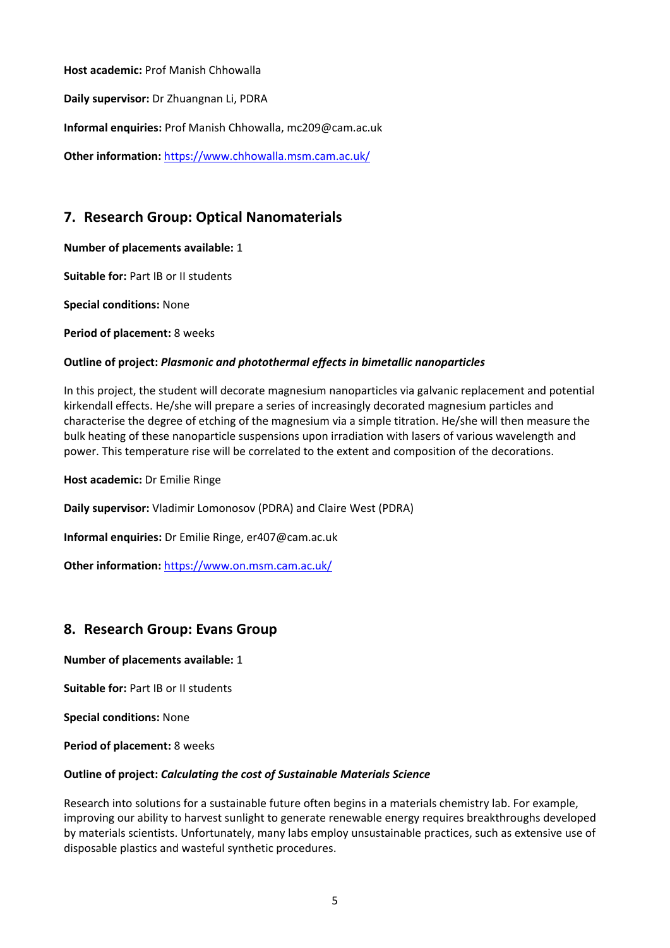**Host academic:** Prof Manish Chhowalla

**Daily supervisor:** Dr Zhuangnan Li, PDRA

**Informal enquiries:** Prof Manish Chhowalla, mc209@cam.ac.uk

**Other information:** <https://www.chhowalla.msm.cam.ac.uk/>

# **7. Research Group: Optical Nanomaterials**

**Number of placements available:** 1

**Suitable for:** Part IB or II students

**Special conditions:** None

**Period of placement:** 8 weeks

## **Outline of project:** *Plasmonic and photothermal effects in bimetallic nanoparticles*

In this project, the student will decorate magnesium nanoparticles via galvanic replacement and potential kirkendall effects. He/she will prepare a series of increasingly decorated magnesium particles and characterise the degree of etching of the magnesium via a simple titration. He/she will then measure the bulk heating of these nanoparticle suspensions upon irradiation with lasers of various wavelength and power. This temperature rise will be correlated to the extent and composition of the decorations.

**Host academic:** Dr Emilie Ringe

**Daily supervisor:** Vladimir Lomonosov (PDRA) and Claire West (PDRA)

**Informal enquiries:** Dr Emilie Ringe, er407@cam.ac.uk

**Other information:** <https://www.on.msm.cam.ac.uk/>

# **8. Research Group: Evans Group**

**Number of placements available:** 1

**Suitable for:** Part IB or II students

**Special conditions:** None

**Period of placement:** 8 weeks

#### **Outline of project:** *Calculating the cost of Sustainable Materials Science*

Research into solutions for a sustainable future often begins in a materials chemistry lab. For example, improving our ability to harvest sunlight to generate renewable energy requires breakthroughs developed by materials scientists. Unfortunately, many labs employ unsustainable practices, such as extensive use of disposable plastics and wasteful synthetic procedures.